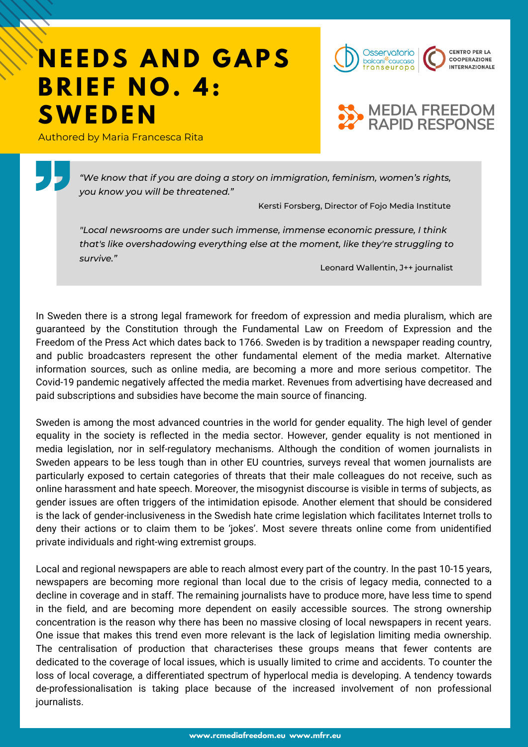## **NEEDS AND GAPS B R I E F N O . 4: SWE D E N**

Authored by Maria Francesca Rita





*"We know that if you are doing a story on immigration, feminism, women's rights, you know you will be threatened."*

Kersti Forsberg, Director of Fojo Media Institute

*"Local newsrooms are under such immense, immense economic pressure, I think that's like overshadowing everything else at the moment, like they're struggling to survive."*

Leonard Wallentin, J++ journalist

In Sweden there is a strong legal framework for freedom of expression and media pluralism, which are guaranteed by the Constitution through the Fundamental Law on Freedom of Expression and the Freedom of the Press Act which dates back to 1766. Sweden is by tradition a newspaper reading country, and public broadcasters represent the other fundamental element of the media market. Alternative information sources, such as online media, are becoming a more and more serious competitor. The Covid-19 pandemic negatively affected the media market. Revenues from advertising have decreased and paid subscriptions and subsidies have become the main source of financing.

Sweden is among the most advanced countries in the world for gender equality. The high level of gender equality in the society is reflected in the media sector. However, gender equality is not mentioned in media legislation, nor in self-regulatory mechanisms. Although the condition of women journalists in Sweden appears to be less tough than in other EU countries, surveys reveal that women journalists are particularly exposed to certain categories of threats that their male colleagues do not receive, such as online harassment and hate speech. Moreover, the misogynist discourse is visible in terms of subjects, as gender issues are often triggers of the intimidation episode. Another element that should be considered is the lack of gender-inclusiveness in the Swedish hate crime legislation which facilitates Internet trolls to deny their actions or to claim them to be 'jokes'. Most severe threats online come from unidentified private individuals and right-wing extremist groups.

Local and regional newspapers are able to reach almost every part of the country. In the past 10-15 years, newspapers are becoming more regional than local due to the crisis of legacy media, connected to a decline in coverage and in staff. The remaining journalists have to produce more, have less time to spend in the field, and are becoming more dependent on easily accessible sources. The strong ownership concentration is the reason why there has been no massive closing of local newspapers in recent years. One issue that makes this trend even more relevant is the lack of legislation limiting media ownership. The centralisation of production that characterises these groups means that fewer contents are dedicated to the coverage of local issues, which is usually limited to crime and accidents. To counter the loss of local coverage, a differentiated spectrum of hyperlocal media is developing. A tendency towards de-professionalisation is taking place because of the increased involvement of non professional journalists.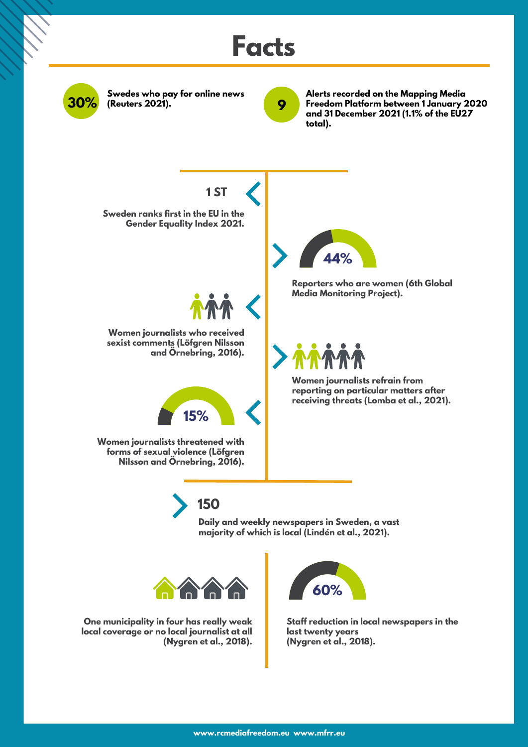

**150**

**Daily and weekly newspapers in Sweden, a vast majority of which is local (Lindén et al., 2021).**



**One municipality in four has really weak local coverage or no local journalist at all (Nygren et al., 2018).**



**Staff reduction in local newspapers in the last twenty years (Nygren et al., 2018).**